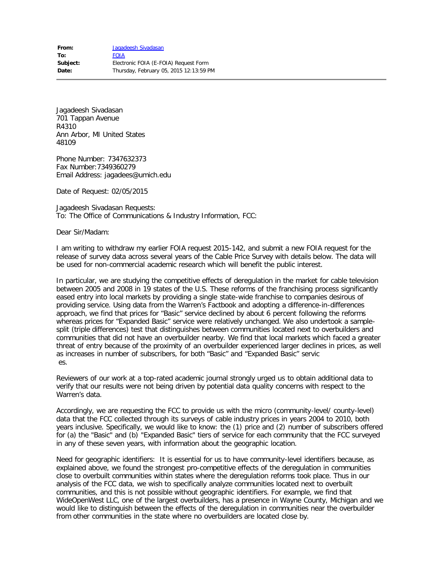Jagadeesh Sivadasan 701 Tappan Avenue R4310 Ann Arbor, MI United States 48109

Phone Number: 7347632373 Fax Number:7349360279 Email Address: jagadees@umich.edu

Date of Request: 02/05/2015

Jagadeesh Sivadasan Requests: To: The Office of Communications & Industry Information, FCC:

Dear Sir/Madam:

I am writing to withdraw my earlier FOIA request 2015-142, and submit a new FOIA request for the release of survey data across several years of the Cable Price Survey with details below. The data will be used for non-commercial academic research which will benefit the public interest.

In particular, we are studying the competitive effects of deregulation in the market for cable television between 2005 and 2008 in 19 states of the U.S. These reforms of the franchising process significantly eased entry into local markets by providing a single state-wide franchise to companies desirous of providing service. Using data from the Warren's Factbook and adopting a difference-in-differences approach, we find that prices for "Basic" service declined by about 6 percent following the reforms whereas prices for "Expanded Basic" service were relatively unchanged. We also undertook a samplesplit (triple differences) test that distinguishes between communities located next to overbuilders and communities that did not have an overbuilder nearby. We find that local markets which faced a greater threat of entry because of the proximity of an overbuilder experienced larger declines in prices, as well as increases in number of subscribers, for both "Basic" and "Expanded Basic" servic es.

Reviewers of our work at a top-rated academic journal strongly urged us to obtain additional data to verify that our results were not being driven by potential data quality concerns with respect to the Warren's data.

Accordingly, we are requesting the FCC to provide us with the micro (community-level/ county-level) data that the FCC collected through its surveys of cable industry prices in years 2004 to 2010, both years inclusive. Specifically, we would like to know: the (1) price and (2) number of subscribers offered for (a) the "Basic" and (b) "Expanded Basic" tiers of service for each community that the FCC surveyed in any of these seven years, with information about the geographic location.

Need for geographic identifiers: It is essential for us to have community-level identifiers because, as explained above, we found the strongest pro-competitive effects of the deregulation in communities close to overbuilt communities within states where the deregulation reforms took place. Thus in our analysis of the FCC data, we wish to specifically analyze communities located next to overbuilt communities, and this is not possible without geographic identifiers. For example, we find that WideOpenWest LLC, one of the largest overbuilders, has a presence in Wayne County, Michigan and we would like to distinguish between the effects of the deregulation in communities near the overbuilder from other communities in the state where no overbuilders are located close by.